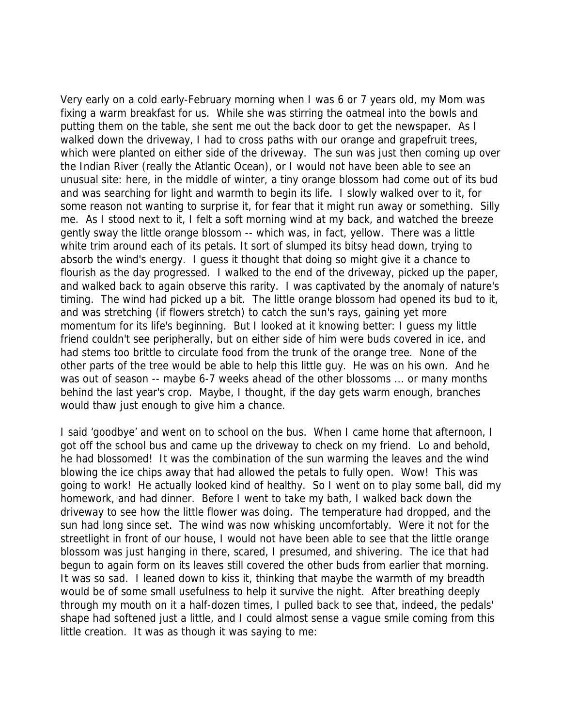Very early on a cold early-February morning when I was 6 or 7 years old, my Mom was fixing a warm breakfast for us. While she was stirring the oatmeal into the bowls and putting them on the table, she sent me out the back door to get the newspaper. As I walked down the driveway, I had to cross paths with our orange and grapefruit trees, which were planted on either side of the driveway. The sun was just then coming up over the Indian River (really the Atlantic Ocean), or I would not have been able to see an unusual site: here, in the middle of winter, a tiny orange blossom had come out of its bud and was searching for light and warmth to begin its life. I slowly walked over to it, for some reason not wanting to surprise it, for fear that it might run away or something. Silly me. As I stood next to it, I felt a soft morning wind at my back, and watched the breeze gently sway the little orange blossom -- which was, in fact, yellow. There was a little white trim around each of its petals. It sort of slumped its bitsy head down, trying to absorb the wind's energy. I guess it thought that doing so might give it a chance to flourish as the day progressed. I walked to the end of the driveway, picked up the paper, and walked back to again observe this rarity. I was captivated by the anomaly of nature's timing. The wind had picked up a bit. The little orange blossom had opened its bud to it, and was stretching (if flowers stretch) to catch the sun's rays, gaining yet more momentum for its life's beginning. But I looked at it knowing better: I guess my little friend couldn't see peripherally, but on either side of him were buds covered in ice, and had stems too brittle to circulate food from the trunk of the orange tree. None of the other parts of the tree would be able to help this little guy. He was on his own. And he was out of season -- maybe 6-7 weeks ahead of the other blossoms ... or many months behind the last year's crop. Maybe, I thought, if the day gets warm enough, branches would thaw just enough to give him a chance.

I said 'goodbye' and went on to school on the bus. When I came home that afternoon, I got off the school bus and came up the driveway to check on my friend. Lo and behold, he had blossomed! It was the combination of the sun warming the leaves and the wind blowing the ice chips away that had allowed the petals to fully open. Wow! This was going to work! He actually looked kind of healthy. So I went on to play some ball, did my homework, and had dinner. Before I went to take my bath, I walked back down the driveway to see how the little flower was doing. The temperature had dropped, and the sun had long since set. The wind was now whisking uncomfortably. Were it not for the streetlight in front of our house, I would not have been able to see that the little orange blossom was just hanging in there, scared, I presumed, and shivering. The ice that had begun to again form on its leaves still covered the other buds from earlier that morning. It was so sad. I leaned down to kiss it, thinking that maybe the warmth of my breadth would be of some small usefulness to help it survive the night. After breathing deeply through my mouth on it a half-dozen times, I pulled back to see that, indeed, the pedals' shape had softened just a little, and I could almost sense a vague smile coming from this little creation. It was as though it was saying to me: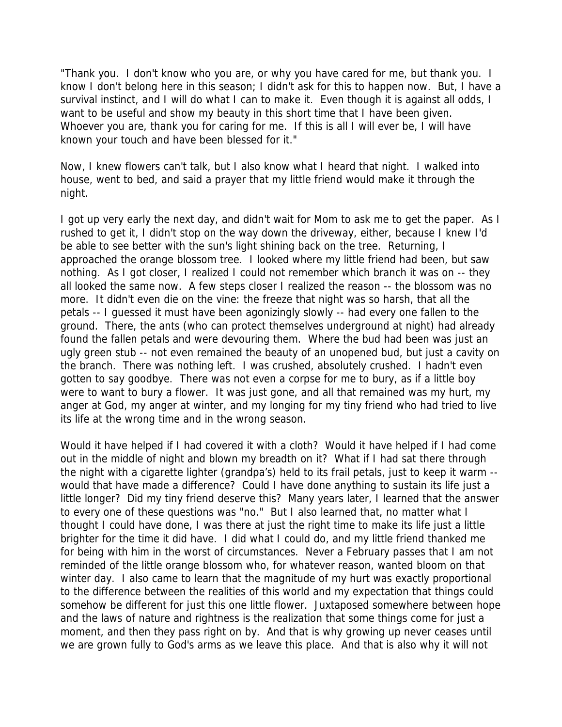"Thank you. I don't know who you are, or why you have cared for me, but thank you. I know I don't belong here in this season; I didn't ask for this to happen now. But, I have a survival instinct, and I will do what I can to make it. Even though it is against all odds, I want to be useful and show my beauty in this short time that I have been given. Whoever you are, thank you for caring for me. If this is all I will ever be, I will have known your touch and have been blessed for it."

Now, I knew flowers can't talk, but I also know what I heard that night. I walked into house, went to bed, and said a prayer that my little friend would make it through the night.

I got up very early the next day, and didn't wait for Mom to ask me to get the paper. As I rushed to get it, I didn't stop on the way down the driveway, either, because I knew I'd be able to see better with the sun's light shining back on the tree. Returning, I approached the orange blossom tree. I looked where my little friend had been, but saw nothing. As I got closer, I realized I could not remember which branch it was on -- they all looked the same now. A few steps closer I realized the reason -- the blossom was no more. It didn't even die on the vine: the freeze that night was so harsh, that all the petals -- I guessed it must have been agonizingly slowly -- had every one fallen to the ground. There, the ants (who can protect themselves underground at night) had already found the fallen petals and were devouring them. Where the bud had been was just an ugly green stub -- not even remained the beauty of an unopened bud, but just a cavity on the branch. There was nothing left. I was crushed, absolutely crushed. I hadn't even gotten to say goodbye. There was not even a corpse for me to bury, as if a little boy were to want to bury a flower. It was just gone, and all that remained was my hurt, my anger at God, my anger at winter, and my longing for my tiny friend who had tried to live its life at the wrong time and in the wrong season.

Would it have helped if I had covered it with a cloth? Would it have helped if I had come out in the middle of night and blown my breadth on it? What if I had sat there through the night with a cigarette lighter (grandpa's) held to its frail petals, just to keep it warm - would that have made a difference? Could I have done anything to sustain its life just a little longer? Did my tiny friend deserve this? Many years later, I learned that the answer to every one of these questions was "no." But I also learned that, no matter what I thought I could have done, I was there at just the right time to make its life just a little brighter for the time it did have. I did what I could do, and my little friend thanked me for being with him in the worst of circumstances. Never a February passes that I am not reminded of the little orange blossom who, for whatever reason, wanted bloom on that winter day. I also came to learn that the magnitude of my hurt was exactly proportional to the difference between the realities of this world and my expectation that things could somehow be different for just this one little flower. Juxtaposed somewhere between hope and the laws of nature and rightness is the realization that some things come for just a moment, and then they pass right on by. And that is why growing up never ceases until we are grown fully to God's arms as we leave this place. And that is also why it will not